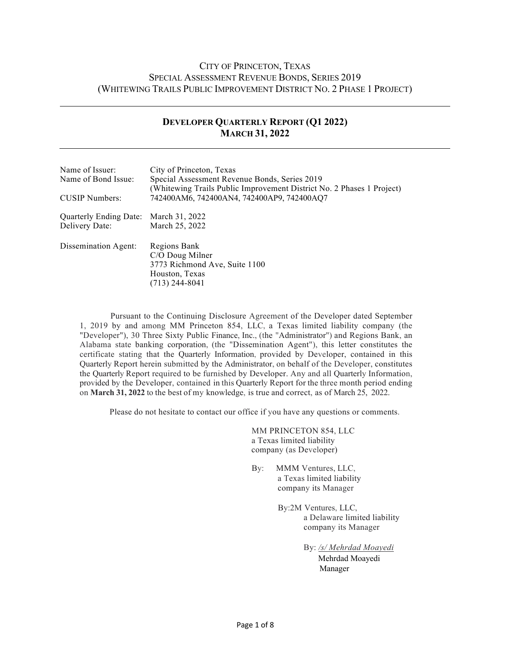### CITY OF PRINCETON, TEXAS SPECIAL ASSESSMENT REVENUE BONDS, SERIES 2019 (WHITEWING TRAILS PUBLIC IMPROVEMENT DISTRICT NO. 2 PHASE 1 PROJECT)

## **DEVELOPER QUARTERLY REPORT (Q1 2022) MARCH 31, 2022**

| Name of Issuer:<br>Name of Bond Issue:<br><b>CUSIP</b> Numbers: | City of Princeton, Texas<br>Special Assessment Revenue Bonds, Series 2019<br>(Whitewing Trails Public Improvement District No. 2 Phases 1 Project)<br>742400AM6, 742400AN4, 742400AP9, 742400AQ7 |
|-----------------------------------------------------------------|--------------------------------------------------------------------------------------------------------------------------------------------------------------------------------------------------|
| Quarterly Ending Date: March 31, 2022<br>Delivery Date:         | March 25, 2022                                                                                                                                                                                   |
| Dissemination Agent:                                            | Regions Bank<br>C/O Doug Milner<br>3773 Richmond Ave, Suite 1100<br>Houston, Texas<br>$(713)$ 244-8041                                                                                           |

Pursuant to the Continuing Disclosure Agreement of the Developer dated September 1, 2019 by and among MM Princeton 854, LLC, a Texas limited liability company (the "Developer"), 30 Three Sixty Public Finance, Inc., (the "Administrator") and Regions Bank, an Alabama state banking corporation, (the "Dissemination Agent"), this letter constitutes the certificate stating that the Quarterly Information, provided by Developer, contained in this Quarterly Report herein submitted by the Administrator, on behalf of the Developer, constitutes the Quarterly Report required to be furnished by Developer. Any and all Quarterly Information, provided by the Developer, contained in this Quarterly Report for the three month period ending on **March 31, 2022** to the best of my knowledge, is true and correct, as of March 25, 2022.

Please do not hesitate to contact our office if you have any questions or comments.

MM PRINCETON 854, LLC a Texas limited liability company (as Developer)

- By: MMM Ventures, LLC, a Texas limited liability company its Manager
	- By:2M Ventures, LLC, a Delaware limited liability company its Manager

By: */s/ Mehrdad Moayedi* Mehrdad Moayedi Manager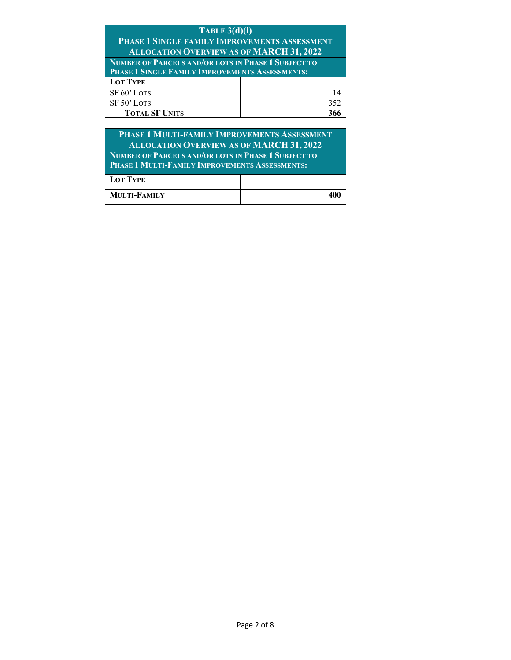| TABLE 3(d)(i)                                              |     |  |  |  |
|------------------------------------------------------------|-----|--|--|--|
| PHASE 1 SINGLE FAMILY IMPROVEMENTS ASSESSMENT              |     |  |  |  |
| <b>ALLOCATION OVERVIEW AS OF MARCH 31, 2022</b>            |     |  |  |  |
| <b>NUMBER OF PARCELS AND/OR LOTS IN PHASE 1 SUBJECT TO</b> |     |  |  |  |
| PHASE 1 SINGLE FAMILY IMPROVEMENTS ASSESSMENTS:            |     |  |  |  |
| <b>LOT TYPE</b>                                            |     |  |  |  |
| SF 60' LOTS                                                | 14  |  |  |  |
| SF 50' LOTS                                                | 352 |  |  |  |
| <b>TOTAL SF UNITS</b>                                      |     |  |  |  |

## **PHASE 1 MULTI-FAMILY IMPROVEMENTS ASSESSMENT ALLOCATION OVERVIEW AS OF MARCH 31, 2022 NUMBER OF PARCELS AND/OR LOTS IN PHASE 1 SUBJECT TO PHASE 1 MULTI-FAMILY IMPROVEMENTS ASSESSMENTS: LOT TYPE MULTI-FAMILY 400**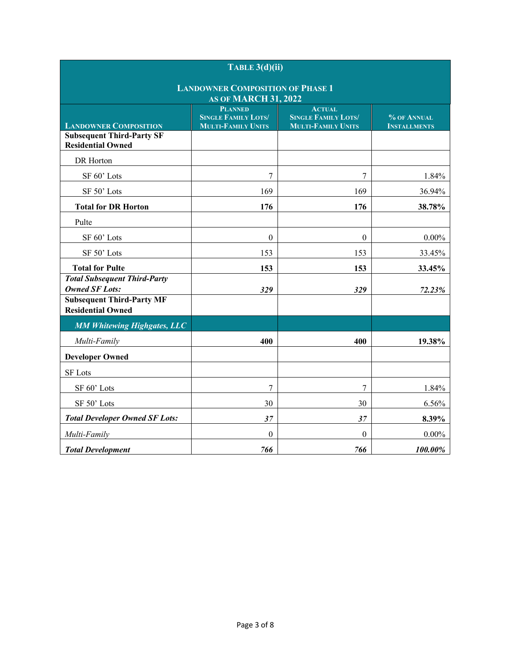|                                                              | TABLE $3(d)(ii)$                             |                                             |                     |  |  |  |
|--------------------------------------------------------------|----------------------------------------------|---------------------------------------------|---------------------|--|--|--|
| <b>LANDOWNER COMPOSITION OF PHASE 1</b>                      |                                              |                                             |                     |  |  |  |
|                                                              | <b>AS OF MARCH 31, 2022</b>                  |                                             |                     |  |  |  |
|                                                              | <b>PLANNED</b><br><b>SINGLE FAMILY LOTS/</b> | <b>ACTUAL</b><br><b>SINGLE FAMILY LOTS/</b> | % OF ANNUAL         |  |  |  |
| <b>LANDOWNER COMPOSITION</b>                                 | <b>MULTI-FAMILY UNITS</b>                    | <b>MULTI-FAMILY UNITS</b>                   | <b>INSTALLMENTS</b> |  |  |  |
| <b>Subsequent Third-Party SF</b><br><b>Residential Owned</b> |                                              |                                             |                     |  |  |  |
| DR Horton                                                    |                                              |                                             |                     |  |  |  |
| SF 60' Lots                                                  | 7                                            | 7                                           | 1.84%               |  |  |  |
| SF 50' Lots                                                  | 169                                          | 169                                         | 36.94%              |  |  |  |
| <b>Total for DR Horton</b>                                   | 176                                          | 176                                         | 38.78%              |  |  |  |
| Pulte                                                        |                                              |                                             |                     |  |  |  |
| SF 60' Lots                                                  | $\boldsymbol{0}$                             | $\boldsymbol{0}$                            | $0.00\%$            |  |  |  |
| SF 50' Lots                                                  | 153                                          | 153                                         | 33.45%              |  |  |  |
| <b>Total for Pulte</b>                                       | 153                                          | 153                                         | 33.45%              |  |  |  |
| <b>Total Subsequent Third-Party</b><br><b>Owned SF Lots:</b> | 329                                          | 329                                         | 72.23%              |  |  |  |
| <b>Subsequent Third-Party MF</b><br><b>Residential Owned</b> |                                              |                                             |                     |  |  |  |
| <b>MM Whitewing Highgates, LLC</b>                           |                                              |                                             |                     |  |  |  |
| Multi-Family                                                 | 400                                          | 400                                         | 19.38%              |  |  |  |
| <b>Developer Owned</b>                                       |                                              |                                             |                     |  |  |  |
| SF Lots                                                      |                                              |                                             |                     |  |  |  |
| SF 60' Lots                                                  | 7                                            | 7                                           | 1.84%               |  |  |  |
| SF 50' Lots                                                  | 30                                           | 30                                          | 6.56%               |  |  |  |
| <b>Total Developer Owned SF Lots:</b>                        | 37                                           | 37                                          | 8.39%               |  |  |  |
| Multi-Family                                                 | $\boldsymbol{0}$                             | $\mathbf{0}$                                | $0.00\%$            |  |  |  |
| <b>Total Development</b>                                     | 766                                          | 766                                         | 100.00%             |  |  |  |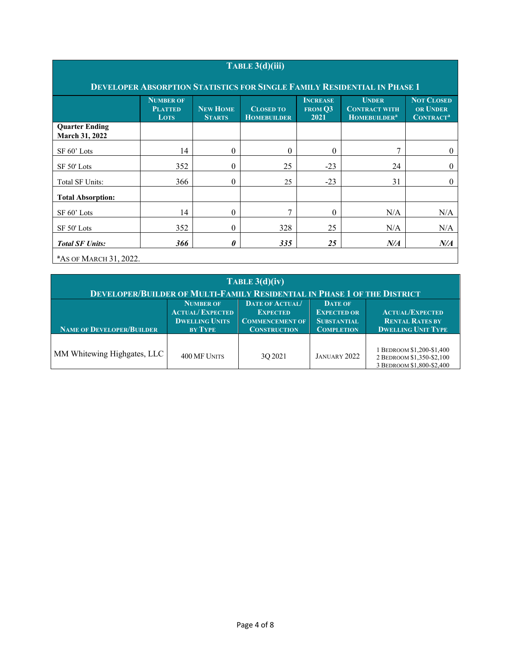| TABLE 3(d)(iii)                                                                                                                                                                                                                                                                                                        |     |          |     |          |           |              |  |  |
|------------------------------------------------------------------------------------------------------------------------------------------------------------------------------------------------------------------------------------------------------------------------------------------------------------------------|-----|----------|-----|----------|-----------|--------------|--|--|
| <b>DEVELOPER ABSORPTION STATISTICS FOR SINGLE FAMILY RESIDENTIAL IN PHASE 1</b>                                                                                                                                                                                                                                        |     |          |     |          |           |              |  |  |
| <b>NOT CLOSED</b><br><b>INCREASE</b><br><b>UNDER</b><br><b>NUMBER OF</b><br><b>NEW HOME</b><br><b>CLOSED TO</b><br><b>FROM Q3</b><br>OR UNDER<br><b>CONTRACT WITH</b><br><b>PLATTED</b><br><b>HOMEBUILDER<sup>a</sup></b><br><b>LOTS</b><br><b>STARTS</b><br>2021<br><b>CONTRACT<sup>a</sup></b><br><b>HOMEBUILDER</b> |     |          |     |          |           |              |  |  |
| <b>Quarter Ending</b><br><b>March 31, 2022</b>                                                                                                                                                                                                                                                                         |     |          |     |          |           |              |  |  |
| SF 60' Lots                                                                                                                                                                                                                                                                                                            | 14  | $\theta$ | 0   | $\theta$ | 7         | $\theta$     |  |  |
| SF 50' Lots                                                                                                                                                                                                                                                                                                            | 352 | $\theta$ | 25  | $-23$    | 24        | $\mathbf{0}$ |  |  |
| <b>Total SF Units:</b>                                                                                                                                                                                                                                                                                                 | 366 | $\theta$ | 25  | $-23$    | 31        | $\theta$     |  |  |
| <b>Total Absorption:</b>                                                                                                                                                                                                                                                                                               |     |          |     |          |           |              |  |  |
| SF 60' Lots                                                                                                                                                                                                                                                                                                            | 14  | $\theta$ | 7   | $\theta$ | N/A       | N/A          |  |  |
| SF 50' Lots                                                                                                                                                                                                                                                                                                            | 352 | $\theta$ | 328 | 25       | N/A       | N/A          |  |  |
| <b>Total SF Units:</b>                                                                                                                                                                                                                                                                                                 | 366 | 0        | 335 | 25       | $N\!/\!A$ | $N\!/\!A$    |  |  |
| <sup>a</sup> AS OF MARCH 31, 2022.                                                                                                                                                                                                                                                                                     |     |          |     |          |           |              |  |  |

**TABLE 3(d)(iv) DEVELOPER/BUILDER OF MULTI-FAMILY RESIDENTIAL IN PHASE 1 OF THE DISTRICT NAME OF DEVELOPER/BUILDER NUMBER OF ACTUAL/ EXPECTED DWELLING UNITS BY TYPE DATE OF ACTUAL/ EXPECTED COMMENCEMENT OF CONSTRUCTION DATE OF EXPECTED OR SUBSTANTIAL COMPLETION ACTUAL/EXPECTED RENTAL RATES BY DWELLING UNIT TYPE** MM Whitewing Highgates, LLC  $\begin{array}{|c|c|c|c|c|c|c|c|c|} \hline & & & & & 3Q\ 2021 & & & & JANUARY 2022 \hline \end{array}$ 1 BEDROOM \$1,200-\$1,400 2 BEDROOM \$1,350-\$2,100 3 BEDROOM \$1,800-\$2,400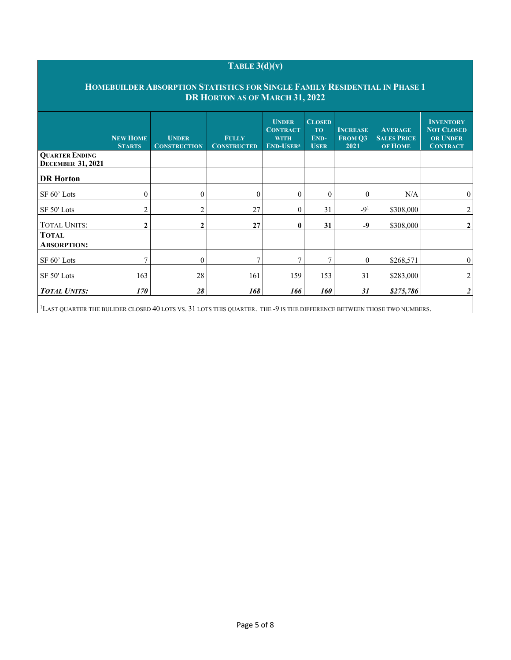# **TABLE 3(d)(v)**

### **HOMEBUILDER ABSORPTION STATISTICS FOR SINGLE FAMILY RESIDENTIAL IN PHASE 1 DR HORTON AS OF MARCH 31, 2022**

|                                                   | <b>NEW HOME</b><br><b>STARTS</b> | <b>UNDER</b><br><b>CONSTRUCTION</b> | <b>FULLY</b><br><b>CONSTRUCTED</b> | <b>UNDER</b><br><b>CONTRACT</b><br><b>WITH</b><br>END-USER <sup>a</sup> | <b>CLOSED</b><br>TO<br>END-<br><b>USER</b> | <b>INCREASE</b><br>FROM O3<br>2021 | <b>AVERAGE</b><br><b>SALES PRICE</b><br>OF HOME | <b>INVENTORY</b><br><b>NOT CLOSED</b><br><b>OR UNDER</b><br><b>CONTRACT</b> |
|---------------------------------------------------|----------------------------------|-------------------------------------|------------------------------------|-------------------------------------------------------------------------|--------------------------------------------|------------------------------------|-------------------------------------------------|-----------------------------------------------------------------------------|
| <b>QUARTER ENDING</b><br><b>DECEMBER 31, 2021</b> |                                  |                                     |                                    |                                                                         |                                            |                                    |                                                 |                                                                             |
| <b>DR</b> Horton                                  |                                  |                                     |                                    |                                                                         |                                            |                                    |                                                 |                                                                             |
| SF 60' Lots                                       | $\boldsymbol{0}$                 | $\mathbf{0}$                        | $\theta$                           | $\overline{0}$                                                          | $\overline{0}$                             | $\theta$                           | N/A                                             | $\boldsymbol{0}$                                                            |
| SF 50' Lots                                       | 2                                | 2                                   | 27                                 | $\theta$                                                                | 31                                         | $-91$                              | \$308,000                                       | $\overline{2}$                                                              |
| <b>TOTAL UNITS:</b>                               | 2                                | $\mathbf{2}$                        | 27                                 | $\mathbf{0}$                                                            | 31                                         | $-9$                               | \$308,000                                       | $\overline{2}$                                                              |
| <b>TOTAL</b><br><b>ABSORPTION:</b>                |                                  |                                     |                                    |                                                                         |                                            |                                    |                                                 |                                                                             |
| SF 60' Lots                                       | 7                                | $\boldsymbol{0}$                    | 7                                  | 7                                                                       | 7                                          | $\mathbf{0}$                       | \$268,571                                       | $\boldsymbol{0}$                                                            |
| SF 50' Lots                                       | 163                              | 28                                  | 161                                | 159                                                                     | 153                                        | 31                                 | \$283,000                                       | $\overline{2}$                                                              |
| <b>TOTAL UNITS:</b>                               | 170                              | 28                                  | 168                                | 166                                                                     | <i><b>160</b></i>                          | 31                                 | \$275,786                                       | $\boldsymbol{2}$                                                            |
|                                                   |                                  |                                     |                                    |                                                                         |                                            |                                    |                                                 |                                                                             |

1 LAST QUARTER THE BULIDER CLOSED 40 LOTS VS. 31 LOTS THIS QUARTER. THE -9 IS THE DIFFERENCE BETWEEN THOSE TWO NUMBERS.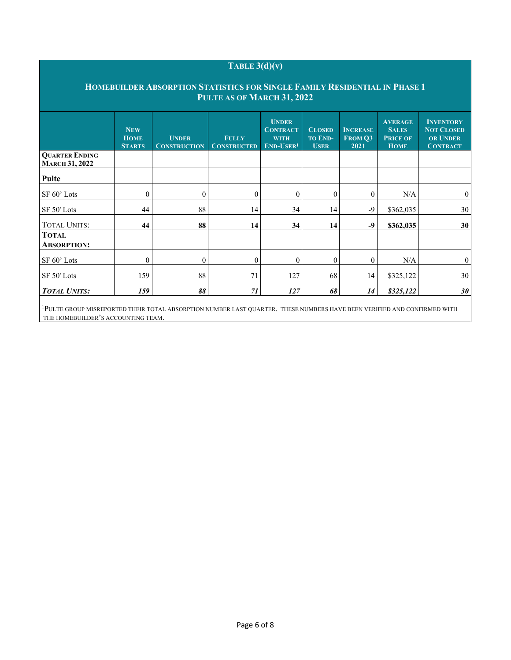## **TABLE 3(d)(v)**

### **HOMEBUILDER ABSORPTION STATISTICS FOR SINGLE FAMILY RESIDENTIAL IN PHASE 1 PULTE AS OF MARCH 31, 2022**

|                                                | <b>NEW</b><br><b>HOME</b><br><b>STARTS</b> | <b>UNDER</b><br><b>CONSTRUCTION</b> | <b>FULLY</b><br><b>CONSTRUCTED</b> | <b>UNDER</b><br><b>CONTRACT</b><br><b>WITH</b><br>$END-USER1$ | <b>CLOSED</b><br><b>TO END-</b><br><b>USER</b> | <b>INCREASE</b><br>FROM O3<br>2021 | <b>AVERAGE</b><br><b>SALES</b><br><b>PRICE OF</b><br><b>HOME</b> | <b>INVENTORY</b><br><b>NOT CLOSED</b><br><b>OR UNDER</b><br><b>CONTRACT</b> |
|------------------------------------------------|--------------------------------------------|-------------------------------------|------------------------------------|---------------------------------------------------------------|------------------------------------------------|------------------------------------|------------------------------------------------------------------|-----------------------------------------------------------------------------|
| <b>OUARTER ENDING</b><br><b>MARCH 31, 2022</b> |                                            |                                     |                                    |                                                               |                                                |                                    |                                                                  |                                                                             |
| <b>Pulte</b>                                   |                                            |                                     |                                    |                                                               |                                                |                                    |                                                                  |                                                                             |
| SF 60' Lots                                    | $\boldsymbol{0}$                           | $\boldsymbol{0}$                    | $\Omega$                           | $\boldsymbol{0}$                                              | $\overline{0}$                                 | $\mathbf{0}$                       | N/A                                                              | $\mathbf{0}$                                                                |
| SF 50' Lots                                    | 44                                         | 88                                  | 14                                 | 34                                                            | 14                                             | $-9$                               | \$362,035                                                        | 30                                                                          |
| <b>TOTAL UNITS:</b>                            | 44                                         | 88                                  | 14                                 | 34                                                            | 14                                             | $-9$                               | \$362,035                                                        | 30                                                                          |
| <b>TOTAL</b><br><b>ABSORPTION:</b>             |                                            |                                     |                                    |                                                               |                                                |                                    |                                                                  |                                                                             |
| SF 60' Lots                                    | 0                                          | $\boldsymbol{0}$                    | $\theta$                           | $\mathbf{0}$                                                  | $\Omega$                                       | 0                                  | N/A                                                              | $\boldsymbol{0}$                                                            |
| SF 50' Lots                                    | 159                                        | 88                                  | 71                                 | 127                                                           | 68                                             | 14                                 | \$325,122                                                        | 30                                                                          |
| <b>TOTAL UNITS:</b>                            | 159                                        | 88                                  | 71                                 | 127                                                           | 68                                             | 14                                 | \$325,122                                                        | 30                                                                          |

1 PULTE GROUP MISREPORTED THEIR TOTAL ABSORPTION NUMBER LAST QUARTER. THESE NUMBERS HAVE BEEN VERIFIED AND CONFIRMED WITH THE HOMEBUILDER'S ACCOUNTING TEAM.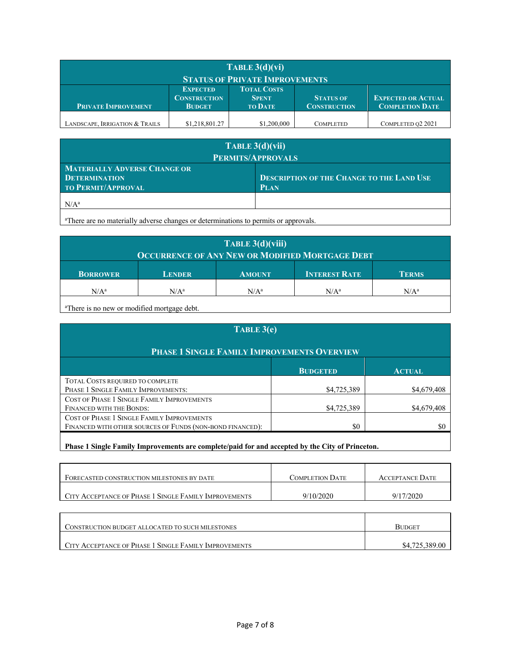| TABLE $3(d)(vi)$<br><b>STATUS OF PRIVATE IMPROVEMENTS</b>                                                                                                                                                                                       |                |             |                  |                   |  |
|-------------------------------------------------------------------------------------------------------------------------------------------------------------------------------------------------------------------------------------------------|----------------|-------------|------------------|-------------------|--|
| <b>TOTAL COSTS</b><br><b>EXPECTED</b><br><b>EXPECTED OR ACTUAL</b><br><b>CONSTRUCTION</b><br><b>STATUS OF</b><br><b>SPENT</b><br><b>COMPLETION DATE</b><br><b>PRIVATE IMPROVEMENT</b><br><b>CONSTRUCTION</b><br><b>TO DATE</b><br><b>BUDGET</b> |                |             |                  |                   |  |
| LANDSCAPE, IRRIGATION & TRAILS                                                                                                                                                                                                                  | \$1,218,801.27 | \$1,200,000 | <b>COMPLETED</b> | COMPLETED Q2 2021 |  |

| TABLE $3(d)(vii)$                                                                 |                                                                 |  |  |  |
|-----------------------------------------------------------------------------------|-----------------------------------------------------------------|--|--|--|
| PERMITS/APPROVALS                                                                 |                                                                 |  |  |  |
| MATERIALLY ADVERSE CHANGE OR<br><b>DETERMINATION</b><br><b>TO PERMIT/APPROVAL</b> | <b>DESCRIPTION OF THE CHANGE TO THE LAND USE</b><br><b>PLAN</b> |  |  |  |
| $N/A^a$                                                                           |                                                                 |  |  |  |

<sup>a</sup>There are no materially adverse changes or determinations to permits or approvals.

| TABLE $3(d)(viii)$<br><b>OCCURRENCE OF ANY NEW OR MODIFIED MORTGAGE DEBT</b>              |         |         |         |         |  |  |
|-------------------------------------------------------------------------------------------|---------|---------|---------|---------|--|--|
| <b>INTEREST RATE</b><br><b>TERMS</b><br><b>BORROWER</b><br><b>LENDER</b><br><b>AMOUNT</b> |         |         |         |         |  |  |
| $N/A^a$                                                                                   | $N/A^a$ | $N/A^a$ | $N/A^a$ | $N/A^a$ |  |  |

<sup>a</sup>There is no new or modified mortgage debt.

| TABLE 3(e)                                                                                              |                 |               |  |  |  |
|---------------------------------------------------------------------------------------------------------|-----------------|---------------|--|--|--|
| PHASE 1 SINGLE FAMILY IMPROVEMENTS OVERVIEW                                                             |                 |               |  |  |  |
|                                                                                                         | <b>BUDGETED</b> | <b>ACTUAL</b> |  |  |  |
| TOTAL COSTS REQUIRED TO COMPLETE<br>PHASE 1 SINGLE FAMILY IMPROVEMENTS:                                 | \$4,725,389     | \$4,679,408   |  |  |  |
| COST OF PHASE 1 SINGLE FAMILY IMPROVEMENTS<br><b>FINANCED WITH THE BONDS:</b>                           | \$4,725,389     | \$4,679,408   |  |  |  |
| COST OF PHASE 1 SINGLE FAMILY IMPROVEMENTS<br>FINANCED WITH OTHER SOURCES OF FUNDS (NON-BOND FINANCED): | \$0             | SC.           |  |  |  |

**Phase 1 Single Family Improvements are complete/paid for and accepted by the City of Princeton.** 

| FORECASTED CONSTRUCTION MILESTONES BY DATE            | <b>COMPLETION DATE</b> | ACCEPTANCE DATE |
|-------------------------------------------------------|------------------------|-----------------|
| CITY ACCEPTANCE OF PHASE 1 SINGLE FAMILY IMPROVEMENTS | 9/10/2020              | 9/17/2020       |

| CONSTRUCTION BUDGET ALLOCATED TO SUCH MILESTONES      | <b>BUDGET</b>  |
|-------------------------------------------------------|----------------|
| CITY ACCEPTANCE OF PHASE 1 SINGLE FAMILY IMPROVEMENTS | \$4,725,389.00 |